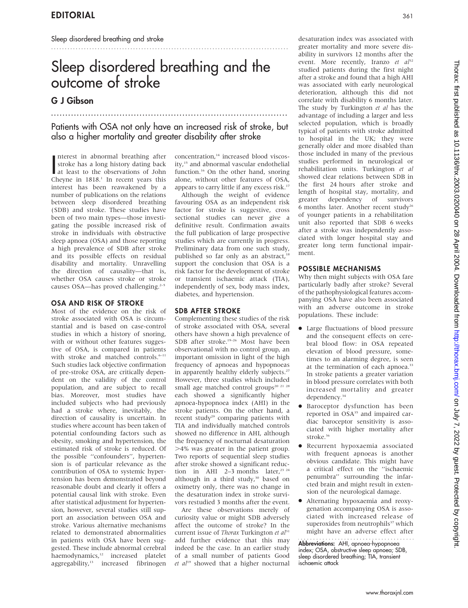# Sleep disordered breathing and the outcome of stroke

...................................................................................

.......................................................................................

# G J Gibson

# Patients with OSA not only have an increased risk of stroke, but also a higher mortality and greater disability after stroke

nterest in abnormal breathing after<br>stroke has a long history dating back<br>at least to the observations of John<br>Channe in 1918<sup>1</sup> In the observations of the nterest in abnormal breathing after stroke has a long history dating back Cheyne in  $1818$ .<sup>1</sup> In recent years this interest has been reawakened by a number of publications on the relations between sleep disordered breathing (SDB) and stroke. These studies have been of two main types—those investigating the possible increased risk of stroke in individuals with obstructive sleep apnoea (OSA) and those reporting a high prevalence of SDB after stroke and its possible effects on residual disability and mortality. Unravelling the direction of causality—that is, whether OSA causes stroke or stroke causes OSA—has proved challenging.<sup>2-5</sup>

## OSA AND RISK OF STROKE

Most of the evidence on the risk of stroke associated with OSA is circumstantial and is based on case-control studies in which a history of snoring, with or without other features suggestive of OSA, is compared in patients with stroke and matched controls.<sup>6-11</sup> Such studies lack objective confirmation of pre-stroke OSA, are critically dependent on the validity of the control population, and are subject to recall bias. Moreover, most studies have included subjects who had previously had a stroke where, inevitably, the direction of causality is uncertain. In studies where account has been taken of potential confounding factors such as obesity, smoking and hypertension, the estimated risk of stroke is reduced. Of the possible ''confounders'', hypertension is of particular relevance as the contribution of OSA to systemic hypertension has been demonstrated beyond reasonable doubt and clearly it offers a potential causal link with stroke. Even after statistical adjustment for hypertension, however, several studies still support an association between OSA and stroke. Various alternative mechanisms related to demonstrated abnormalities in patients with OSA have been suggested. These include abnormal cerebral haemodynamics,<sup>12</sup> increased platelet aggregability,<sup>13</sup> increased fibrinogen

concentration.<sup>14</sup> increased blood viscosity,<sup>15</sup> and abnormal vascular endothelial function.<sup>16</sup> On the other hand, snoring alone, without other features of OSA, appears to carry little if any excess risk.<sup>17</sup>

Although the weight of evidence favouring OSA as an independent risk factor for stroke is suggestive, cross sectional studies can never give a definitive result. Confirmation awaits the full publication of large prospective studies which are currently in progress. Preliminary data from one such study, published so far only as an abstract,<sup>1</sup> support the conclusion that OSA is a risk factor for the development of stroke or transient ischaemic attack (TIA), independently of sex, body mass index, diabetes, and hypertension.

## SDB AFTER STROKE

Complementing these studies of the risk of stroke associated with OSA, several others have shown a high prevalence of SDB after stroke.<sup>19-26</sup> Most have been observational with no control group, an important omission in light of the high frequency of apnoeas and hypopnoeas in apparently healthy elderly subjects.<sup>27</sup> However, three studies which included small age matched control groups<sup>20 21 28</sup> each showed a significantly higher apnoea-hypopnoea index (AHI) in the stroke patients. On the other hand, a recent study<sup>29</sup> comparing patients with TIA and individually matched controls showed no difference in AHI, although the frequency of nocturnal desaturation .4% was greater in the patient group. Two reports of sequential sleep studies after stroke showed a significant reduction in AHI 2–3 months later,<sup>23 24</sup> although in a third study,<sup>30</sup> based on oximetry only, there was no change in the desaturation index in stroke survivors restudied 3 months after the event.

Are these observations merely of curiosity value or might SDB adversely affect the outcome of stroke? In the current issue of Thorax Turkington et al<sup>31</sup> add further evidence that this may indeed be the case. In an earlier study of a small number of patients Good et  $al^{19}$  showed that a higher nocturnal

desaturation index was associated with greater mortality and more severe disability in survivors 12 months after the event. More recently, Iranzo et  $a^{32}$ studied patients during the first night after a stroke and found that a high AHI was associated with early neurological deterioration, although this did not correlate with disability 6 months later. The study by Turkington et al has the advantage of including a larger and less selected population, which is broadly typical of patients with stroke admitted to hospital in the UK; they were generally older and more disabled than those included in many of the previous studies performed in neurological or rehabilitation units. Turkington et al showed clear relations between SDB in the first 24 hours after stroke and length of hospital stay, mortality, and greater dependency of survivors 6 months later. Another recent study<sup>26</sup> of younger patients in a rehabilitation unit also reported that SDB 6 weeks after a stroke was independently associated with longer hospital stay and greater long term functional impairment.

# POSSIBLE MECHANISMS

Why then might subjects with OSA fare particularly badly after stroke? Several of the pathophysiological features accompanying OSA have also been associated with an adverse outcome in stroke populations. These include:

- Large fluctuations of blood pressure and the consequent effects on cerebral blood flow: in OSA repeated elevation of blood pressure, sometimes to an alarming degree, is seen at the termination of each apnoea.<sup>33</sup> In stroke patients a greater variation in blood pressure correlates with both increased mortality and greater dependency.<sup>34</sup>
- Baroceptor dysfunction has been reported in OSA<sup>35</sup> and impaired cardiac baroceptor sensitivity is associated with higher mortality after stroke.<sup>36</sup>
- Recurrent hypoxaemia associated with frequent apnoeas is another obvious candidate. This might have a critical effect on the ''ischaemic penumbra'' surrounding the infarcted brain and might result in extension of the neurological damage.
- Alternating hypoxaemia and reoxygenation accompanying OSA is associated with increased release of superoxides from neutrophils $37$  which might have an adverse effect after

Abbreviations: AHI, apnoea-hypopnoea index; OSA, obstructive sleep apnoea; SDB, sleep disordered breathing; TIA, transient ischaemic attack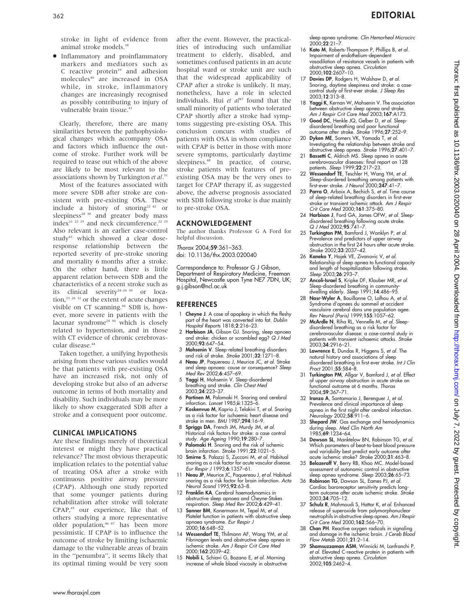stroke in light of evidence from animal stroke models.<sup>38</sup>

 $\bullet$  Inflammatory and proinflammatory markers and mediators such as C reactive protein<sup>39</sup> and adhesion molecules<sup>40</sup> are increased in OSA while, in stroke, inflammatory changes are increasingly recognised as possibly contributing to injury of vulnerable brain tissue.<sup>4</sup>

Clearly, therefore, there are many similarities between the pathophysiological changes which accompany OSA and factors which influence the outcome of stroke. Further work will be required to tease out which of the above are likely to be most relevant to the associations shown by Turkington et al.<sup>31</sup>

Most of the features associated with more severe SDB after stroke are consistent with pre-existing OSA. These include a history of snoring<sup>22 42</sup> or sleepiness<sup>28</sup> <sup>30</sup> and greater body mass index<sup>21 22 25</sup> and neck circumference.<sup>22 25</sup> Also relevant is an earlier case-control study<sup>43</sup> which showed a clear doseresponse relationship between the reported severity of pre-stroke snoring and mortality 6 months after a stroke. On the other hand, there is little apparent relation between SDB and the characteristics of a recent stroke such as its clinical severity<sup>24-26 30</sup> or location, $23 \times 32$  or the extent of acute changes visible on CT scanning.<sup>44</sup> SDB is, however, more severe in patients with the lacunar syndrome<sup>24 30</sup> which is closely related to hypertension, and in those with CT evidence of chronic cerebrovascular disease.<sup>44</sup>

Taken together, a unifying hypothesis arising from these various studies would be that patients with pre-existing OSA have an increased risk, not only of developing stroke but also of an adverse outcome in terms of both mortality and disability. Such individuals may be more likely to show exaggerated SDB after a stroke and a consequent poor outcome.

### CLINICAL IMPLICATIONS

Are these findings merely of theoretical interest or might they have practical relevance? The most obvious therapeutic implication relates to the potential value of treating OSA after a stroke with continuous positive airway pressure (CPAP). Although one study reported that some younger patients during rehabilitation after stroke will tolerate CPAP,<sup>45</sup> our experience, like that of others studying a more representative older population,<sup>46 47</sup> has been more pessimistic. If CPAP is to influence the outcome of stroke by limiting ischaemic damage to the vulnerable areas of brain in the ''penumbra'', it seems likely that its optimal timing would be very soon after the event. However, the practicalities of introducing such unfamiliar treatment to elderly, disabled, and sometimes confused patients in an acute hospital ward or stroke unit are such that the widespread applicability of CPAP after a stroke is unlikely. It may, nonetheless, have a role in selected individuals. Hui et  $al^{47}$  found that the small minority of patients who tolerated CPAP shortly after a stroke had symptoms suggesting pre-existing OSA. This conclusion concurs with studies of patients with OSA in whom compliance with CPAP is better in those with more severe symptoms, particularly daytime sleepiness.<sup>48</sup> In practice, of course, stroke patients with features of preexisting OSA may be the very ones to target for CPAP therapy if, as suggested above, the adverse prognosis associated with SDB following stroke is due mainly to pre-stroke OSA.

## ACKNOWLEDGEMENT

The author thanks Professor G A Ford for helpful discussion.

Thorax 2004;59:361–363. doi: 10.1136/thx.2003.020040

Correspondence to: Professor G J Gibson, Department of Respiratory Medicine, Freeman Hospital, Newcastle upon Tyne NE7 7DN, UK; g.j.gibson@ncl.ac.uk

## **REFERENCES**

- 1 Cheyne J. A case of apoplexy in which the fleshy part of the heart was converted into fat. Dublin Hospital Reports 1818;2:216–23.
- 2 Harbison JA, Gibson GJ. Snoring, sleep apnoea and stroke: chicken or scrambled egg? Q J Med 2000;93:647–54.
- 3 Mohsenin V. Sleep-related breathing disorders and risk of stroke. Stroke 2001;32:1271–8.
- 4 Neau JP, Paquereau J, Meurice JC, et al. Stroke and sleep apnoea: cause or consequence? Sleep Med Rev 2002;6:457–69.
- 5 Yaggi H, Mohsenin V. Sleep-disordered breathing and stroke. Clin Chest Med 2003;24:223–37.
- 6 Partinen M, Palomaki H. Snoring and cerebral infarction. Lancet 1985;ii:1325–6.
- 7 Koskenvuo M, Kaprio J, Telakivi T, et al. Snoring as a risk factor for ischaemic heart disease and stroke in men. BMJ 1987;294:16–9.
- Spriggs DA, French JM, Murdy JM, et al. Historical risk factors for stroke: a case control study. Age Ageing 1990;19:280–7.
- 9 Palomaki H. Snoring and the risk of ischemic brain infarction. Stroke 1991;22:1021–5.
- 10 Smirne S, Palazzi S, Zucconi M, et al. Habitual snoring as a risk factor for acute vascular disease. Eur Respir J 1993;6:1357–61.
- 11 Neau JP, Meurice JC, Paquereau J, et al. Habitual snoring as a risk factor for brain infarction. Acta Neurol Scand 1995;92:63–8.
- 12 Franklin KA. Cerebral haemodynamics in obstructive sleep apnoea and Cheyne-Stokes respiration. Sleep Med Rev 2002;6:429–41.
- 13 Sanner BM, Konermann M, Tepel M, et al. Platelet function in patients with obstructive sleep apnoea syndrome. Eur Respir J 2000;16:648–52.
- 14 Wessendorf TE, Thilmann AF, Wang YM, et al. Fibrinogen levels and obstructive sleep apnea in ischemic stroke. Am J Respir Crit Care Med 2000;162:2039–42.
- 15 Nobili L, Schiavi G, Bozano E, et al. Morning increase of whole blood viscosity in obstructive

sleep apnea syndrome. Clin Hemorheol Microcirc 2000;22:21–7.

- 16 Kato M, Roberts-Thompson P, Phillips B, et al. Impairment of endothelium-dependent vasodilation of resistance vessels in patients with obstructive sleep apnea. Circulation 2000;102:2607–10.
- Davies DP, Rodgers H, Walshaw D, et al. Snoring, daytime sleepiness and stroke: a casecontrol study of first-ever stroke. J Sleep Res 2003;12:313–8.
- 18 Yaggi K, Kernan W, Mohsenin V. The association between obstructive sleep apnea and stroke. Am J Respir Crit Care Med 2003;167:A173.
- Good DC, Henkle JQ, Gelber D, et al. Sleepdisordered breathing and poor functional outcome after stroke. Stroke 1996;27:252–9.
- 20 Dyken ME, Somers VK, Yamada T, et al. Investigating the relationship between stroke and obstructive sleep apnea. Stroke 1996;27:401–7.
- 21 Bassetti C, Aldrich MS. Sleep apnea in acute cerebrovascular diseases: final report on 128 patients. Sleep 1999;22:217–23.
- 22 Wessendorf TE, Teschler H, Wang YM, et al. Sleep-disordered breathing among patients with first-ever stroke. J Neurol 2000;247:41–7.
- 23 Parra O, Arboix A, Bechich S, et al. Time course of sleep-related breathing disorders in first-ever stroke or transient ischemic attack. Am J Respir Crit Care Med 2000;161:375–80.
- 24 Harbison J, Ford GA, James OFW, et al. Sleepdisordered breathing following acute stroke. Q J Med 2002;95:741–7.
- 25 Turkington PM, Bamford J, Wanklyn P, et al. Prevalence and predictors of upper airway obstruction in the first 24 hours after acute stroke. Stroke 2002;33:2037–42.
- 26 Kaneko Y, Hajek VE, Zivanovic V, et al. Relationship of sleep apnea to functional capacity and length of hospitalization following stroke. Sleep 2003;26:293–7.
- 27 Ancoli-Israel S, Kripke DF, Klauber MR, et al. Sleep-disordered breathing in community-dwelling elderly. Sleep 1991;14:486–95.
- Nasr-Wyler A, Bouillanne O, Lalhou A, et al. Syndrome d'apnees du sommeil et accident vasculaire cerebral dans une population agee. Rev Neurol (Paris) 1999;155:1057–62.
- 29 McArdle N, Riha RL, Vennelle M, et al. Sleepdisordered breathing as a risk factor for cerebrovascular disease: a case-control study in patients with transient ischaemic attacks. Stroke 2003;34:2916–21.
- 30 Lawrence E, Dundas R, Higgens S, et al. The natural history and associations of sleep disordered breathing in first ever stroke. Int J Clin Pract 2001;55:584–8.
- 31 Turkington PM, Allgar V, Bamford J, et al. Effect of upper airway obstruction in acute stroke on functional outcome at 6 months. Thorax 2004;59:367–71.
- 32 Iranzo A, Santamaria J, Berenguer J, et al. Prevalence and clinical importance of sleep apnea in the first night after cerebral infarction. Neurology 2002;58:911–6.
- 33 **Shepard JW**. Gas exchange and hemodynamics during sleep. Med Clin North Am 1985;69:1234–64.
- 34 Dawson SL, Manktelow BN, Robinson TG, et al. Which parameters of beat-to-beat blood pressure and variability best predict early outcome after acute ischemic stroke? Stroke 2000;31:463–8.
- 35 Belozeroff V, Berry RB, Khoo MC. Model-based assessment of autonomic control in obstructive sleep apnea syndrome. Sleep 2003;26:65–73.
- 36 Robinson TG, Dawson SL, Eames PJ, et al. Cardiac baroreceptor sensitivity predicts longterm outcome after acute ischemic stroke. Stroke 2003;34:705–12.
- 37 Schulz R, Mahmoudi S, Hattar K, et al. Enhanced release of superoxide from polymorphonuclear neutrophils in obstructive sleep apnea. Am J Respir Crit Care Med 2000;162:566–70.
- 38 Chan PH. Reactive oxygen radicals in signaling and damage in the ischemic brain. J Cereb Blood Flow Metab 2001;21:2–14.
- 39 Shamsuzzaman ASM, Winnicki M, Lanfranchi P, et al. Elevated C-reactive protein in patients with obstructive sleep apnea. Circulation 2002;105:2462–4.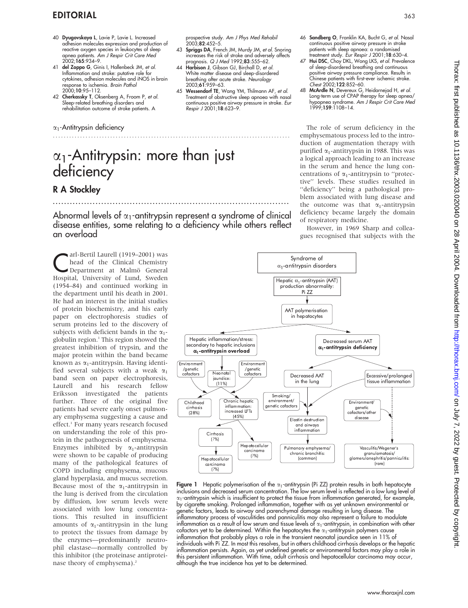# EDITORIAL <sup>363</sup>

- 40 Dyugovskaya L, Lavie P, Lavie L. Increased adhesion molecules expression and production of reactive oxygen species in leukocytes of sleep apnea patients. Am J Respir Crit Care Med 2002;165:934–9.
- 41 del Zoppo G, Ginis I, Hallenbeck JM, et al. Inflammation and stroke: putative role for cytokines, adhesion molecules and iNOS in brain response to ischemia. Brain Pathol 2000;10:95–112.
- 42 Cherkassky T, Oksenberg A, Froom P, et al. Sleep-related breathing disorders and rehabilitation outcome of stroke patients. A

## $\alpha_1$ -Antitrypsin deficiency

# $\alpha_1$ -Antitrypsin: more than just deficiency

# R A Stockley

Abnormal levels of  $\alpha_1$ -antitrypsin represent a syndrome of clinical disease entities, some relating to a deficiency while others reflect an overload

...................................................................................

.......................................................................................

arl-Bertil Laurell (1919–2001) was<br>
head of the Clinical Chemistry<br>
Department at Malmö General<br>
Heapital University of Jund Syndem head of the Clinical Chemistry Hospital, University of Lund, Sweden (1954–84) and continued working in the department until his death in 2001. He had an interest in the initial studies of protein biochemistry, and his early paper on electrophoresis studies of serum proteins led to the discovery of subjects with deficient bands in the  $\alpha_1$ globulin region.<sup>1</sup> This region showed the greatest inhibition of trypsin, and the major protein within the band became known as  $\alpha_1$ -antitrypsin. Having identified several subjects with a weak  $\alpha_1$ band seen on paper electrophoresis, Laurell and his research fellow Eriksson investigated the patients further. Three of the original five patients had severe early onset pulmonary emphysema suggesting a cause and effect.<sup>1</sup> For many years research focused on understanding the role of this protein in the pathogenesis of emphysema. Enzymes inhibited by  $\alpha_1$ -antitrypsin were shown to be capable of producing many of the pathological features of COPD including emphysema, mucous gland hyperplasia, and mucus secretion. Because most of the  $\alpha_1$ -antitrypsin in the lung is derived from the circulation by diffusion, low serum levels were associated with low lung concentrations. This resulted in insufficient amounts of  $\alpha_1$ -antitrypsin in the lung to protect the tissues from damage by the enzymes—predominantly neutrophil elastase—normally controlled by this inhibitor (the proteinase antiproteinase theory of emphysema).<sup>2</sup>

rospective study. Am J Phys Med Rehabil prospective<br>2003;**82**:452–5.

- 43 Spriggs DA, French JM, Murdy JM, et al. Snoring increases the risk of stroke and adversely affects prognosis.  $Q / Med$  1992;83:555–62.
- 44 Harbison J, Gibson GJ, Birchall D, et al. White matter disease and sleep-disordered breathing after acute stroke. Neurology 2003;61:959–63.
- 45 Wessendorf TE, Wang YM, Thilmann AF, et al. Treatment of obstructive sleep apnoea with nasal continuous positive airway pressure in stroke. Eur Respir J 2001;18:623–9.
- 46 Sandberg O, Franklin KA, Bucht G, et al. Nasal continuous positive airway pressure in stroke patients with sleep apnoea: a randomised treatment study. Eur Respir J 2001;18:630–4.
- 47 Hui DSC, Choy DKL, Wong LKS, et al. Prevalence of sleep-disordered breathing and continuous positive airway pressure compliance. Results in Chinese patients with first-ever ischemic stroke. Chest 2002;122:852–60.
- 48 McArdle N, Devereux G, Heidarnejad H, et al. Long-term use of CPAP therapy for sleep apnea/ hypopnea syndrome. Am J Respir Crit Care Med 1999;159:1108–14.

The role of serum deficiency in the emphysematous process led to the introduction of augmentation therapy with purified  $\alpha_1$ -antitrypsin in 1988. This was a logical approach leading to an increase in the serum and hence the lung concentrations of  $\alpha_1$ -antitrypsin to "protective'' levels. These studies resulted in ''deficiency'' being a pathological problem associated with lung disease and the outcome was that  $\alpha_1$ -antitrypsin deficiency became largely the domain of respiratory medicine.

However, in 1969 Sharp and colleagues recognised that subjects with the



Syndrome of  $\alpha_1$ -antitrypsin disorders

inflammatory process of vasculitides and panniculitis may also represent a failure to modulate inflammation as a result of low serum and tissue levels of  $\alpha_1$ -antitrypsin, in combination with other cofactors yet to be determined. Within the hepatocytes the  $\alpha_1$ -antitrypsin polymers cause inflammation that probably plays a role in the transient neonatal jaundice seen in 11% of individuals with Pi ZZ. In most this resolves, but in others childhood cirrhosis develops or the hepatic inflammation persists. Again, as yet undefined genetic or environmental factors may play a role in this persistent inflammation. With time, adult cirrhosis and hepatocellular carcinoma may occur, although the true incidence has yet to be determined.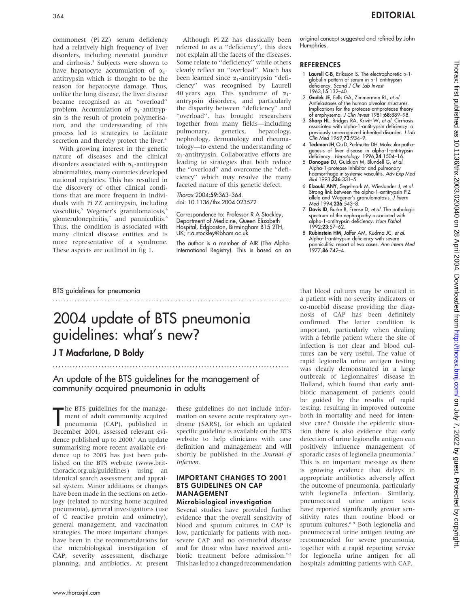commonest (Pi ZZ) serum deficiency had a relatively high frequency of liver disorders, including neonatal jaundice and cirrhosis.<sup>3</sup> Subjects were shown to have hepatocyte accumulation of  $\alpha_1$ antitrypsin which is thought to be the reason for hepatocyte damage. Thus, unlike the lung disease, the liver disease became recognised as an ''overload'' problem. Accumulation of  $\alpha_1$ -antitrypsin is the result of protein polymerisation, and the understanding of this process led to strategies to facilitate secretion and thereby protect the liver.<sup>4</sup>

With growing interest in the genetic nature of diseases and the clinical disorders associated with  $\alpha_1$ -antitrypsin abnormalities, many countries developed national registries. This has resulted in the discovery of other clinical conditions that are more frequent in individuals with Pi ZZ antitrypsin, including vasculitis,<sup>5</sup> Wegener's granulomatosis,<sup>6</sup> glomerulonephritis,<sup>7</sup> and panniculitis.<sup>8</sup> Thus, the condition is associated with many clinical disease entities and is more representative of a syndrome. These aspects are outlined in fig 1.

Although Pi ZZ has classically been referred to as a ''deficiency'', this does not explain all the facets of the diseases. Some relate to ''deficiency'' while others clearly reflect an ''overload''. Much has been learned since  $\alpha_1$ -antitrypsin "deficiency'' was recognised by Laurell 40 years ago. This syndrome of  $\alpha_1$ antrypsin disorders, and particularly the disparity between ''deficiency'' and "overload", has brought researchers together from many fields—including pulmonary, genetics, hepatology, nephrology, dermatology and rheumatology—to extend the understanding of  $\alpha_1$ -antitrypsin. Collaborative efforts are leading to strategies that both reduce the ''overload'' and overcome the ''deficiency'' which may resolve the many faceted nature of this genetic defect.

#### Thorax 2004;59:363–364. doi: 10.1136/thx.2004.023572

Correspondence to: Professor R A Stockley, Department of Medicine, Queen Elizabeth Hospital, Edgbaston, Birmingham B15 2TH, UK; r.a.stockley@bham.ac.uk

The author is a member of AIR (The Alpha<sub>1</sub> International Registry). This is based on an original concept suggested and refined by John **Humphries** 

## **REFERENCES**

- 1 Laurell C-B, Eriksson S. The electrophoretic  $\alpha$ -1globulin pattern of serum in a-1 antitrypsin deficiency. Scand J Clin Lab Invest 1963;15:132–40.
- 2 Gadek JE, Fells GA, Zimmerman RL, et al. Antielastases of the human alveolar structures. Implications for the protease-antiprotease theory of emphysema. J Clin Invest 1981;68:889–98.
- 3 Sharp HL, Bridges RA, Krivitt W, et al. Cirrhosis associated with alpha-1-antitrypsin deficiency: a previously unrecognized inherited disorder. J Lab Clin Med 1969;73:934–9.
- 4 Teckman JH, Qu D, Perlmutter DH, Molecular pathogenesis of liver disease in alpha-1-antitrypsin deficiency. Hepatology 1996;24:1504–16.
- 5 Donogue DJ, Guickian M, Blundell G, et al. Alpha-1-protease inhibitor and pulmonary haemorrhage in systemic vasculitis. Adv Exp Med Biol 1993;336:331-5.
- 6 Elzouki ANY, Segelmark M, Wieslander J, et al. Strong link between the alpha-1-antitrypsin PiZ allele and Wegener's granulomatosis. J Intern Med 1994:236:543-8.
- 7 Davis ID, Burke B, Freese D, et al. The pathologic spectrum of the nephropathy associated with alpha-1-antitrypsin deficiency. Hum Pathol 1992;23:57–62.
- 8 Rubinstein HM, Jaffer AM, Kudrna JC, et al. Alpha-1-antitrypsin deficiency with severe panniculitis: report of two cases. Ann Intern Med 1977;86:742–4.

# BTS guidelines for pneumonia

# 2004 update of BTS pneumonia guidelines: what's new?

.......................................................................................

# J T Macfarlane, D Boldy

# An update of the BTS guidelines for the management of community acquired pneumonia in adults

me B1S guidelines for the manage-<br>
ment of adult community acquired<br>
pneumonia (CAP), published in<br>
December 2001, assessed relevant evihe BTS guidelines for the management of adult community acquired pneumonia (CAP), published in dence published up to  $2000<sup>1</sup>$  An update summarising more recent available evidence up to 2003 has just been published on the BTS website (www.britthoracic.org.uk/guidelines) using an identical search assessment and appraisal system. Minor additions or changes have been made in the sections on aetiology (related to nursing home acquired pneumonia), general investigations (use of C reactive protein and oximetry), general management, and vaccination strategies. The more important changes have been in the recommendations for the microbiological investigation of CAP, severity assessment, discharge planning, and antibiotics. At present these guidelines do not include information on severe acute respiratory syndrome (SARS), for which an updated specific guideline is available on the BTS website to help clinicians with case definition and management and will shortly be published in the Journal of Infection.

...................................................................................

## IMPORTANT CHANGES TO 2001 BTS GUIDELINES ON CAP MANAGEMENT

Microbiological investigation Several studies have provided further evidence that the overall sensitivity of blood and sputum cultures in CAP is low, particularly for patients with nonsevere CAP and no co-morbid disease and for those who have received antibiotic treatment before admission.<sup>2-5</sup> This has led to a changed recommendation

that blood cultures may be omitted in a patient with no severity indicators or co-morbid disease providing the diagnosis of CAP has been definitely confirmed. The latter condition is important, particularly when dealing with a febrile patient where the site of infection is not clear and blood cultures can be very useful. The value of rapid legionella urine antigen testing was clearly demonstrated in a large outbreak of Legionnaires' disease in Holland, which found that early antibiotic management of patients could be guided by the results of rapid testing, resulting in improved outcome both in mortality and need for intensive care.<sup>6</sup> Outside the epidemic situation there is also evidence that early detection of urine legionella antigen can positively influence management of sporadic cases of legionella pneumonia.<sup>7</sup> This is an important message as there is growing evidence that delays in appropriate antibiotics adversely affect the outcome of pneumonia, particularly with legionella infection. Similarly, pneumococcal urine antigen tests have reported significantly greater sensitivity rates than routine blood or sputum cultures.<sup>8</sup> 9 Both legionella and pneumococcal urine antigen testing are recommended for severe pneumonia, together with a rapid reporting service for legionella urine antigen for all hospitals admitting patients with CAP.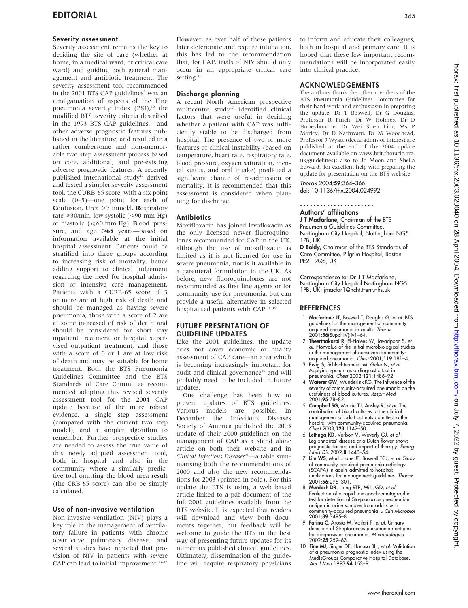### Severity assessment

Severity assessment remains the key to deciding the site of care (whether at home, in a medical ward, or critical care ward) and guiding both general management and antibiotic treatment. The severity assessment tool recommended in the 2001 BTS CAP guidelines<sup>1</sup> was an amalgamation of aspects of the Fine pneumonia severity index (PSI),<sup>10</sup> the modified BTS severity criteria described in the 1993 BTS CAP guidelines. $11$  and other adverse prognostic features published in the literature, and resulted in a rather cumbersome and non-memorable two step assessment process based on core, additional, and pre-existing adverse prognostic features. A recently published international study<sup>12</sup> derived and tested a simpler severity assessment tool, the CURB-65 score, with a six point scale (0–5)—one point for each of Confusion, Urea  $>7$  mmol/l, Respiratory rate  $\geq$ 30/min, low systolic (<90 mm Hg) or diastolic ( $\leq 60$  mm Hg) **B**lood pressure, and age  $\geq 65$  years—based on information available at the initial hospital assessment. Patients could be stratified into three groups according to increasing risk of mortality, hence adding support to clinical judgement regarding the need for hospital admission or intensive care management. Patients with a CURB-65 score of 3 or more are at high risk of death and should be managed as having severe pneumonia, those with a score of 2 are at some increased of risk of death and should be considered for short stay inpatient treatment or hospital supervised outpatient treatment, and those with a score of 0 or 1 are at low risk of death and may be suitable for home treatment. Both the BTS Pneumonia Guidelines Committee and the BTS Standards of Care Committee recommended adopting this revised severity assessment tool for the 2004 CAP update because of the more robust evidence, a single step assessment (compared with the current two step model), and a simpler algorithm to remember. Further prospective studies are needed to assess the true value of this newly adopted assessment tool, both in hospital and also in the community where a similarly predictive tool omitting the blood urea result (the CRB-65 score) can also be simply calculated.

### Use of non-invasive ventilation

Non-invasive ventilation (NIV) plays a key role in the management of ventilatory failure in patients with chronic obstructive pulmonary disease, and several studies have reported that provision of NIV in patients with severe CAP can lead to initial improvement.<sup>13-15</sup> However, as over half of these patients later deteriorate and require intubation, this has led to the recommendation that, for CAP, trials of NIV should only occur in an appropriate critical care setting.<sup>16</sup>

### Discharge planning

A recent North American prospective multicentre study<sup>17</sup> identified clinical factors that were useful in deciding whether a patient with CAP was sufficiently stable to be discharged from hospital. The presence of two or more features of clinical instability (based on temperature, heart rate, respiratory rate, blood pressure, oxygen saturation, mental status, and oral intake) predicted a significant chance of re-admission or mortality. It is recommended that this assessment is considered when planning for discharge.

### **Antibiotics**

Moxifloxacin has joined levofloxacin as the only licensed newer fluoroquinolones recommended for CAP in the UK, although the use of moxifloxacin is limited as it is not licensed for use in severe pneumonia, nor is it available in a parenteral formulation in the UK. As before, new fluoroquinolones are not recommended as first line agents or for community use for pneumonia, but can provide a useful alternative in selected hospitalised patients with CAP.<sup>18 19</sup>

## FUTURE PRESENTATION OF GUIDELINE UPDATES

Like the 2001 guidelines, the update does not cover economic or quality assessment of CAP care—an area which is becoming increasingly important for audit and clinical governance<sup>20</sup> and will probably need to be included in future updates.

One challenge has been how to present updates of BTS guidelines. Various models are possible. In December the Infectious Diseases Society of America published the 2003 update of their 2000 guidelines on the management of CAP as a stand alone article on both their website and in Clinical Infectious Diseases<sup>21</sup>—a table summarising both the recommendations of 2000 and also the new recommendations for 2003 (printed in bold). For this update the BTS is using a web based article linked to a pdf document of the full 2001 guidelines available from the BTS website. It is expected that readers will download and view both documents together, but feedback will be welcome to guide the BTS in the best way of presenting future updates for its numerous published clinical guidelines. Ultimately, dissemination of the guideline will require respiratory physicians

to inform and educate their colleagues, both in hospital and primary care. It is hoped that these few important recommendations will be incorporated easily into clinical practice.

### ACKNOWLEDGEMENTS

The authors thank the other members of the BTS Pneumonia Guidelines Committee for their hard work and enthusiasm in preparing the update: Dr T Boswell, Dr G Douglas, Professor R Finch, Dr W Holmes, Dr D Honeybourne, Dr Wei Shen Lim, Ms P Morley, Dr D Nathwani, Dr M Woodhead, Professor J Wyatt (declarations of interest are published at the end of the 2004 update document available on www.brit.thoracic.org. uk/guidelines); also to Jo Moon and Sheila Edwards for excellent help with preparing the update for presentation on the BTS website.

Thorax 2004;59:364–366. doi: 10.1136/thx.2004.024992

......................

Authors' affiliations J T Macfarlane, Chairman of the BTS Pneumonia Guidelines Committee, Nottingham City Hospital, Nottingham NG5 1PB, UK

D Boldy, Chairman of the BTS Standards of Care Committee, Pilgrim Hospital, Boston PE21 9QS, UK

Correspondence to: Dr J T Macfarlane, Nottingham City Hospital Nottingham NG5 1PB, UK; jmacfar1@ncht.trent.nhs.uk

### REFERENCES

- 1 Macfarlane JT, Boswell T, Douglas G, et al. BTS guidelines for the management of community acquired pneumonia in adults. Thorax 2001;56(Suppl IV):iv1–64.
- 2 Theerthakarai R, El-Halees W, Javadpoor S, et al. Nonvalue of the initial microbiological studies in the management of nonsevere communityacquired pneumonia. Chest 2001;119:181–4.
- 3 Ewig S, Schlochtermeier M, Goke N, et al. Applying sputum as a diagnostic tool in
- pneumonia. Chest 2002;121:1486–92. 4 Waterer GW, Wunderink RG. The influence of the severity of community-acquired pneumonia on the usefulness of blood cultures. Respir Med 2001;95:78–82.
- 5 Campbell SG, Marrie TJ, Ansley R, et al. The contribution of blood cultures to the clinical management of adult patients admitted to the hospital with community-acquired pneumonia. Chest 2003;123:1142–50.
- 6 Lettinga KD, Verbon V, Weverly GJ, et al. Legionnaires' disease at a Dutch flower show: prognostic factors and impact of therapy. Emerg Infect Dis 2002;8:1448–54.
- 7 Lim WS, Macfarlane JT, Boswell TCJ, et al. Study of community acquired pneumonia aetiology (SCAPA) in adults admitted to hospital: implications for management guidelines. Thorax 2001;56:296–301.
- 8 Murdoch DR, Laing RTR, Mills GD, et al. Evaluation of a rapid immunochromatographic test for detection of Streptococcus pneumoniae antigen in urine samples from adults with community-acquired pneumonia. *J Clin Microbio*<br>2001;**39**:3495–8.
- 9 Farina C, Arosio M, Vailati F, et al. Urinary detection of Streptococcus pneumoniae antigen for diagnosis of pneumonia. Microbiologica  $2002.25.259 - 63$
- 10 Fine MJ, Singer DE, Hanusa BH, et al. Validation of a pneumonia prognostic index using the MedisGroups Comparative Hospital Database. Am J Med 1993;94:153-9.